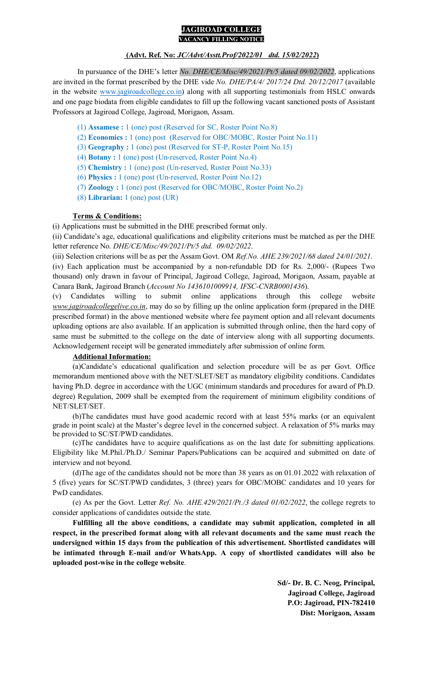#### **JAGIROAD COLLEGE VACANCY FILLING NOTICE**

### **(Advt. Ref. No:** *JC/Advt/Asstt.Prof/2022/01 dtd. 15/02/2022***)**

In pursuance of the DHE's letter *No. DHE/CE/Misc/49/2021/Pt/5 dated 09/02/2022*, applications are invited in the format prescribed by the DHE vide *No. DHE/PA/4/ 2017/24 Dtd. 20/12/2017* (available in the website www.jagiroadcollege.co.in) along with all supporting testimonials from HSLC onwards and one page biodata from eligible candidates to fill up the following vacant sanctioned posts of Assistant Professors at Jagiroad College, Jagiroad, Morigaon, Assam.

- (1) **Assamese :** 1 (one) post (Reserved for SC, Roster Point No.8)
- (2) **Economics :** 1 (one) post (Reserved for OBC/MOBC, Roster Point No.11)
- (3) **Geography :** 1 (one) post (Reserved for ST-P, Roster Point No.15)
- (4) **Botany :** 1 (one) post (Un-reserved, Roster Point No.4)
- (5) **Chemistry :** 1 (one) post (Un-reserved, Roster Point No.33)
- (6) **Physics :** 1 (one) post (Un-reserved, Roster Point No.12)
- (7) **Zoology :** 1 (one) post (Reserved for OBC/MOBC, Roster Point No.2)
- (8) **Librarian:** 1 (one) post (UR)

### **Terms & Conditions:**

(i) Applications must be submitted in the DHE prescribed format only.

(ii) Candidate's age, educational qualifications and eligibility criterions must be matched as per the DHE letter reference No. *DHE/CE/Misc/49/2021/Pt/5 dtd. 09/02/2022*.

(iii) Selection criterions will be as per the Assam Govt. OM *Ref.No. AHE.239/2021/68 dated 24/01/2021*.

(iv) Each application must be accompanied by a non-refundable DD for Rs. 2,000/- (Rupees Two thousand) only drawn in favour of Principal, Jagiroad College, Jagiroad, Morigaon, Assam, payable at Canara Bank, Jagiroad Branch (*Account No 1436101009914, IFSC-CNRB0001436*).

(v) Candidates willing to submit online applications through this college website *www.jagiroadcollegelive.co.in*, may do so by filling up the online application form (prepared in the DHE prescribed format) in the above mentioned website where fee payment option and all relevant documents uploading options are also available. If an application is submitted through online, then the hard copy of same must be submitted to the college on the date of interview along with all supporting documents. Acknowledgement receipt will be generated immediately after submission of online form.

# **Additional Information:**

(a)Candidate's educational qualification and selection procedure will be as per Govt. Office memorandum mentioned above with the NET/SLET/SET as mandatory eligibility conditions. Candidates having Ph.D. degree in accordance with the UGC (minimum standards and procedures for award of Ph.D. degree) Regulation, 2009 shall be exempted from the requirement of minimum eligibility conditions of NET/SLET/SET.

(b)The candidates must have good academic record with at least 55% marks (or an equivalent grade in point scale) at the Master's degree level in the concerned subject. A relaxation of 5% marks may be provided to SC/ST/PWD candidates.

(c)The candidates have to acquire qualifications as on the last date for submitting applications. Eligibility like M.Phil./Ph.D./ Seminar Papers/Publications can be acquired and submitted on date of interview and not beyond.

(d)The age of the candidates should not be more than 38 years as on 01.01.2022 with relaxation of 5 (five) years for SC/ST/PWD candidates, 3 (three) years for OBC/MOBC candidates and 10 years for PwD candidates.

(e) As per the Govt. Letter *Ref. No. AHE.429/2021/Pt./3 dated 01/02/2022*, the college regrets to consider applications of candidates outside the state.

**Fulfilling all the above conditions, a candidate may submit application, completed in all respect, in the prescribed format along with all relevant documents and the same must reach the undersigned within 15 days from the publication of this advertisement. Shortlisted candidates will be intimated through E-mail and/or WhatsApp. A copy of shortlisted candidates will also be uploaded post-wise in the college website**.

> **Sd/- Dr. B. C. Neog, Principal, Jagiroad College, Jagiroad P.O: Jagiroad, PIN-782410 Dist: Morigaon, Assam**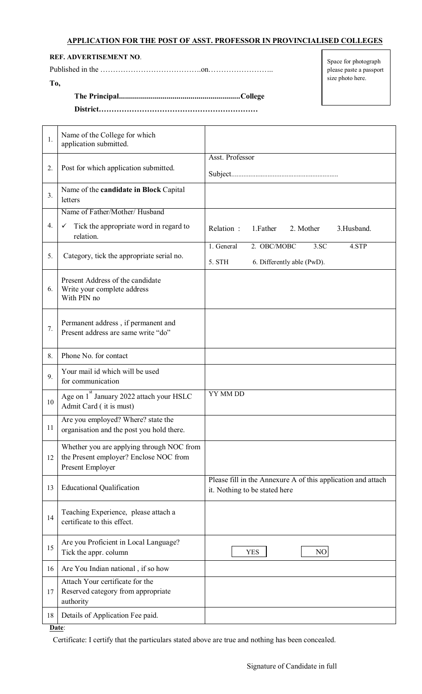# **APPLICATION FOR THE POST OF ASST. PROFESSOR IN PROVINCIALISED COLLEGES**

**REF. ADVERTISEMENT NO**.

**To,** 

Published in the ………………………………….on…………………….. **The Principal ............................................................. College** 

**District………………………………………………………** 

Space for photograph please paste a passport size photo here.

| 1. | Name of the College for which<br>application submitted.                                                 |                                                                                               |
|----|---------------------------------------------------------------------------------------------------------|-----------------------------------------------------------------------------------------------|
| 2. | Post for which application submitted.                                                                   | Asst. Professor                                                                               |
| 3. | Name of the candidate in Block Capital<br>letters                                                       |                                                                                               |
|    | Name of Father/Mother/Husband                                                                           |                                                                                               |
| 4. | Tick the appropriate word in regard to<br>✓<br>relation.                                                | Relation:<br>1. Father<br>2. Mother<br>3.Husband.                                             |
| 5. | Category, tick the appropriate serial no.                                                               | 2. OBC/MOBC<br>1. General<br>3.5C<br>4.STP<br>5. STH<br>6. Differently able (PwD).            |
| 6. | Present Address of the candidate<br>Write your complete address<br>With PIN no                          |                                                                                               |
| 7. | Permanent address, if permanent and<br>Present address are same write "do"                              |                                                                                               |
| 8. | Phone No. for contact                                                                                   |                                                                                               |
| 9. | Your mail id which will be used<br>for communication                                                    |                                                                                               |
| 10 | Age on 1 <sup>st</sup> January 2022 attach your HSLC<br>Admit Card (it is must)                         | YY MM DD                                                                                      |
| 11 | Are you employed? Where? state the<br>organisation and the post you hold there.                         |                                                                                               |
| 12 | Whether you are applying through NOC from<br>the Present employer? Enclose NOC from<br>Present Employer |                                                                                               |
| 13 | <b>Educational Qualification</b>                                                                        | Please fill in the Annexure A of this application and attach<br>it. Nothing to be stated here |
| 14 | Teaching Experience, please attach a<br>certificate to this effect.                                     |                                                                                               |
| 15 | Are you Proficient in Local Language?<br>Tick the appr. column                                          | NO<br><b>YES</b>                                                                              |
| 16 | Are You Indian national, if so how                                                                      |                                                                                               |
| 17 | Attach Your certificate for the<br>Reserved category from appropriate<br>authority                      |                                                                                               |
| 18 | Details of Application Fee paid.                                                                        |                                                                                               |

**Date**:

Certificate: I certify that the particulars stated above are true and nothing has been concealed.